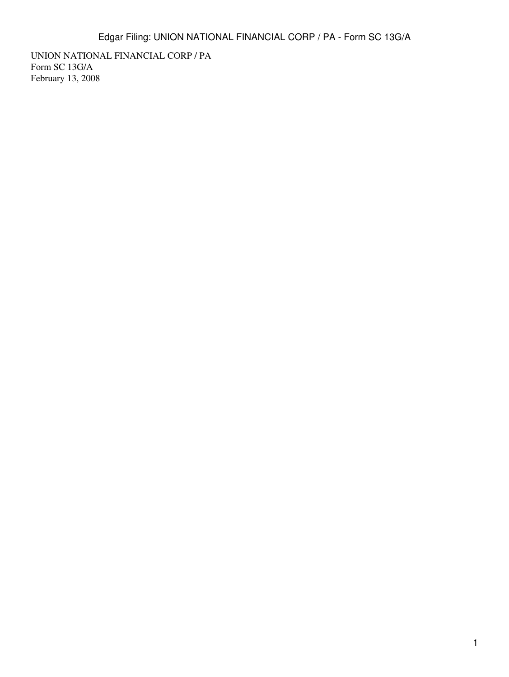UNION NATIONAL FINANCIAL CORP / PA Form SC 13G/A February 13, 2008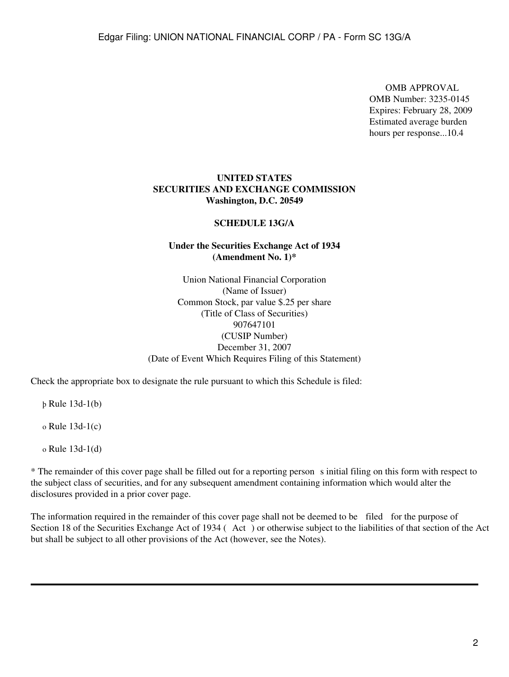OMB APPROVAL OMB Number: 3235-0145 Expires: February 28, 2009 Estimated average burden hours per response...10.4

## **UNITED STATES SECURITIES AND EXCHANGE COMMISSION Washington, D.C. 20549**

### **SCHEDULE 13G/A**

# **Under the Securities Exchange Act of 1934 (Amendment No. 1)\***

Union National Financial Corporation (Name of Issuer) Common Stock, par value \$.25 per share (Title of Class of Securities) 907647101 (CUSIP Number) December 31, 2007 (Date of Event Which Requires Filing of this Statement)

Check the appropriate box to designate the rule pursuant to which this Schedule is filed:

þ Rule 13d-1(b)

o Rule 13d-1(c)

o Rule 13d-1(d)

\* The remainder of this cover page shall be filled out for a reporting persons initial filing on this form with respect to the subject class of securities, and for any subsequent amendment containing information which would alter the disclosures provided in a prior cover page.

The information required in the remainder of this cover page shall not be deemed to be filed for the purpose of Section 18 of the Securities Exchange Act of 1934 (Act) or otherwise subject to the liabilities of that section of the Act but shall be subject to all other provisions of the Act (however, see the Notes).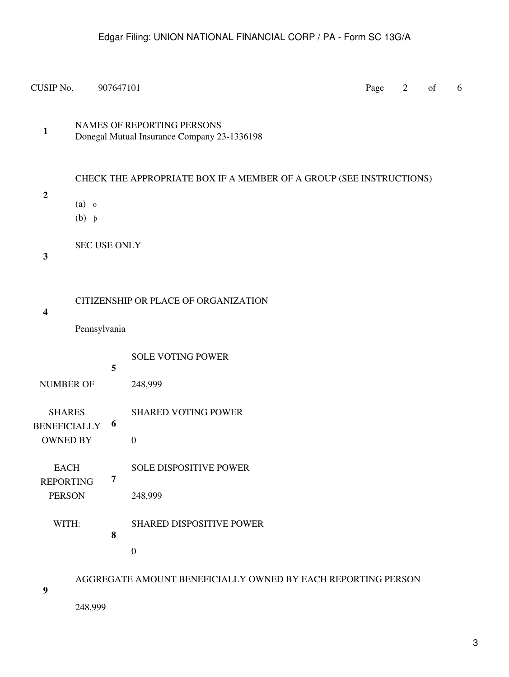CUSIP No.  $907647101$  Page 2 of 6

**1** NAMES OF REPORTING PERSONS Donegal Mutual Insurance Company 23-1336198

CHECK THE APPROPRIATE BOX IF A MEMBER OF A GROUP (SEE INSTRUCTIONS)

**2**

- (a) o
	- (b) þ

SEC USE ONLY

**3**

CITIZENSHIP OR PLACE OF ORGANIZATION

**4**

Pennsylvania

|                                      | 5 | <b>SOLE VOTING POWER</b>        |
|--------------------------------------|---|---------------------------------|
| <b>NUMBER OF</b>                     |   | 248,999                         |
| <b>SHARES</b><br><b>BENEFICIALLY</b> | 6 | <b>SHARED VOTING POWER</b>      |
| <b>OWNED BY</b>                      |   | $\Omega$                        |
| <b>EACH</b>                          | 7 | <b>SOLE DISPOSITIVE POWER</b>   |
| <b>REPORTING</b><br><b>PERSON</b>    |   | 248,999                         |
| WITH:                                | 8 | <b>SHARED DISPOSITIVE POWER</b> |
|                                      |   | $\overline{0}$                  |
|                                      |   |                                 |

AGGREGATE AMOUNT BENEFICIALLY OWNED BY EACH REPORTING PERSON

248,999

**9**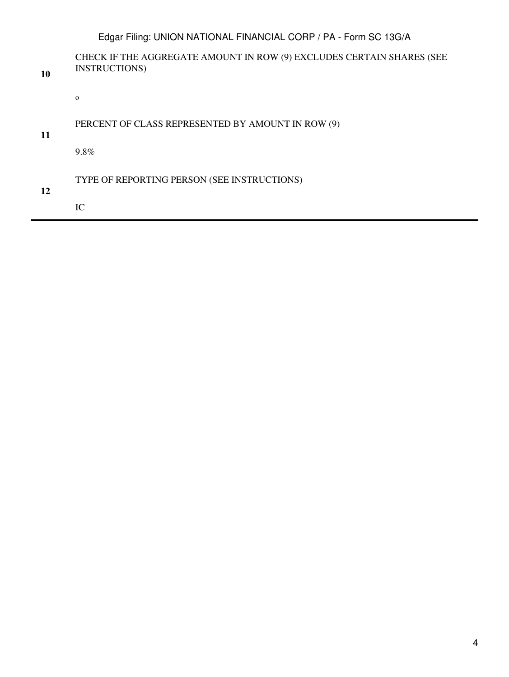|    | Edgar Filing: UNION NATIONAL FINANCIAL CORP / PA - Form SC 13G/A                             |
|----|----------------------------------------------------------------------------------------------|
| 10 | CHECK IF THE AGGREGATE AMOUNT IN ROW (9) EXCLUDES CERTAIN SHARES (SEE<br><b>INSTRUCTIONS</b> |
|    | $\mathbf{O}$                                                                                 |
| 11 | PERCENT OF CLASS REPRESENTED BY AMOUNT IN ROW (9)                                            |
|    | 9.8%                                                                                         |
| 12 | TYPE OF REPORTING PERSON (SEE INSTRUCTIONS)                                                  |
|    | IC                                                                                           |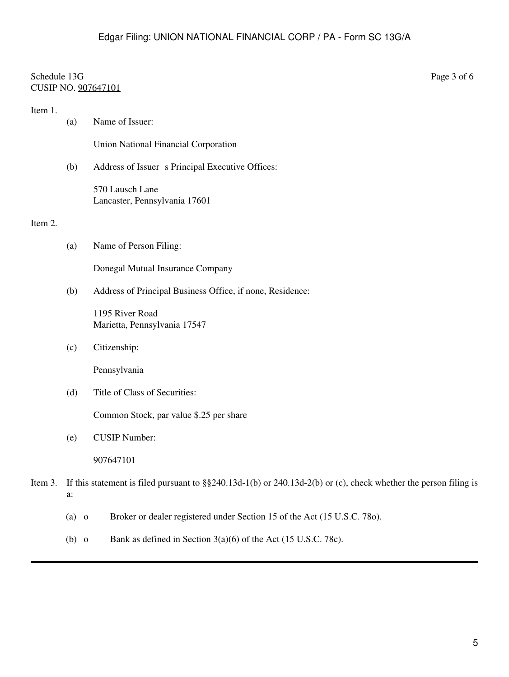# Schedule 13G Page 3 of 6 CUSIP NO. 907647101

| Item 1. | (a) | Name of Issuer:                                                                                                       |  |  |
|---------|-----|-----------------------------------------------------------------------------------------------------------------------|--|--|
|         |     | Union National Financial Corporation                                                                                  |  |  |
|         | (b) | Address of Issuer s Principal Executive Offices:                                                                      |  |  |
|         |     | 570 Lausch Lane<br>Lancaster, Pennsylvania 17601                                                                      |  |  |
| Item 2. |     |                                                                                                                       |  |  |
|         | (a) | Name of Person Filing:                                                                                                |  |  |
|         |     | Donegal Mutual Insurance Company                                                                                      |  |  |
|         | (b) | Address of Principal Business Office, if none, Residence:                                                             |  |  |
|         |     | 1195 River Road<br>Marietta, Pennsylvania 17547                                                                       |  |  |
|         | (c) | Citizenship:                                                                                                          |  |  |
|         |     | Pennsylvania                                                                                                          |  |  |
|         | (d) | Title of Class of Securities:                                                                                         |  |  |
|         |     | Common Stock, par value \$.25 per share                                                                               |  |  |
|         | (e) | <b>CUSIP Number:</b>                                                                                                  |  |  |
|         |     | 907647101                                                                                                             |  |  |
| Item 3. | a:  | If this statement is filed pursuant to $\S$ \$240.13d-1(b) or 240.13d-2(b) or (c), check whether the person filing is |  |  |

- (a) o Broker or dealer registered under Section 15 of the Act (15 U.S.C. 78o).
- (b) o Bank as defined in Section  $3(a)(6)$  of the Act (15 U.S.C. 78c).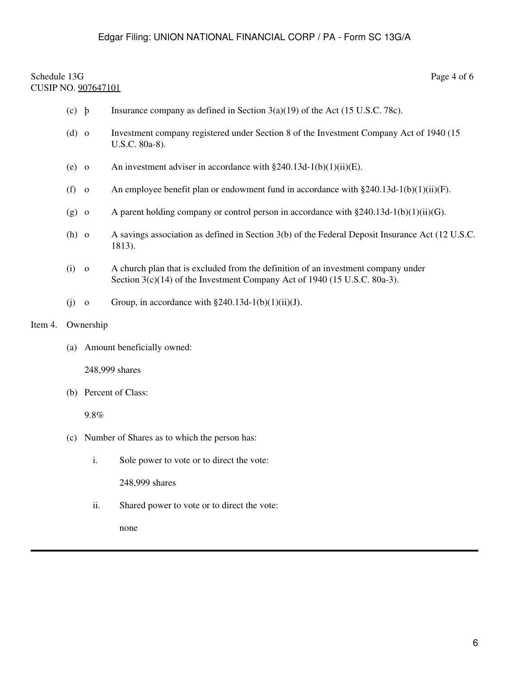# Schedule 13G Page 4 of 6 CUSIP NO. 907647101

- (c) b Insurance company as defined in Section  $3(a)(19)$  of the Act (15 U.S.C. 78c).
- (d) o Investment company registered under Section 8 of the Investment Company Act of 1940 (15 U.S.C. 80a-8).
- (e) o An investment adviser in accordance with  $\S 240.13d-1(b)(1)(ii)(E)$ .
- (f) o An employee benefit plan or endowment fund in accordance with  $\S 240.13d-1(b)(1)(ii)(F)$ .
- (g) o A parent holding company or control person in accordance with  $\S 240.13d-1(b)(1)(ii)(G)$ .
- (h) o A savings association as defined in Section 3(b) of the Federal Deposit Insurance Act (12 U.S.C. 1813).
- (i) o A church plan that is excluded from the definition of an investment company under Section 3(c)(14) of the Investment Company Act of 1940 (15 U.S.C. 80a-3).
- (i) o Group, in accordance with  $\S 240.13d-1(b)(1)(ii)(J)$ .

### Item 4. Ownership

(a) Amount beneficially owned:

248,999 shares

(b) Percent of Class:

9.8%

- (c) Number of Shares as to which the person has:
	- i. Sole power to vote or to direct the vote:

248,999 shares

ii. Shared power to vote or to direct the vote:

none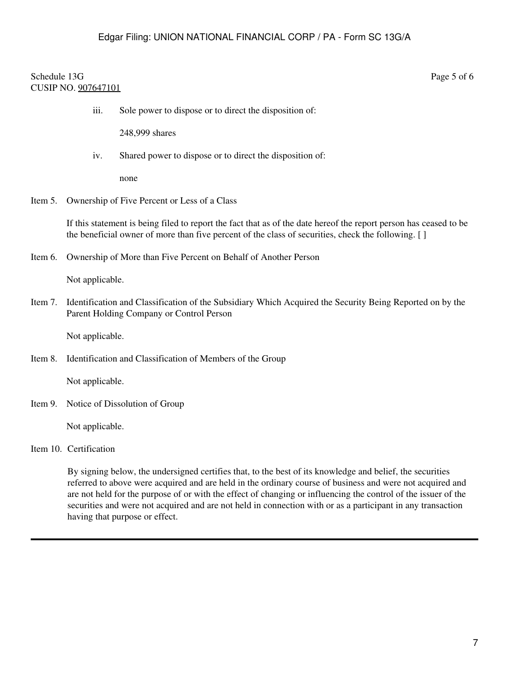### Schedule 13G Page 5 of 6 CUSIP NO. 907647101

iii. Sole power to dispose or to direct the disposition of:

248,999 shares

iv. Shared power to dispose or to direct the disposition of:

none

Item 5. Ownership of Five Percent or Less of a Class

If this statement is being filed to report the fact that as of the date hereof the report person has ceased to be the beneficial owner of more than five percent of the class of securities, check the following. [ ]

Item 6. Ownership of More than Five Percent on Behalf of Another Person

Not applicable.

Item 7. Identification and Classification of the Subsidiary Which Acquired the Security Being Reported on by the Parent Holding Company or Control Person

Not applicable.

Item 8. Identification and Classification of Members of the Group

Not applicable.

Item 9. Notice of Dissolution of Group

Not applicable.

Item 10. Certification

By signing below, the undersigned certifies that, to the best of its knowledge and belief, the securities referred to above were acquired and are held in the ordinary course of business and were not acquired and are not held for the purpose of or with the effect of changing or influencing the control of the issuer of the securities and were not acquired and are not held in connection with or as a participant in any transaction having that purpose or effect.